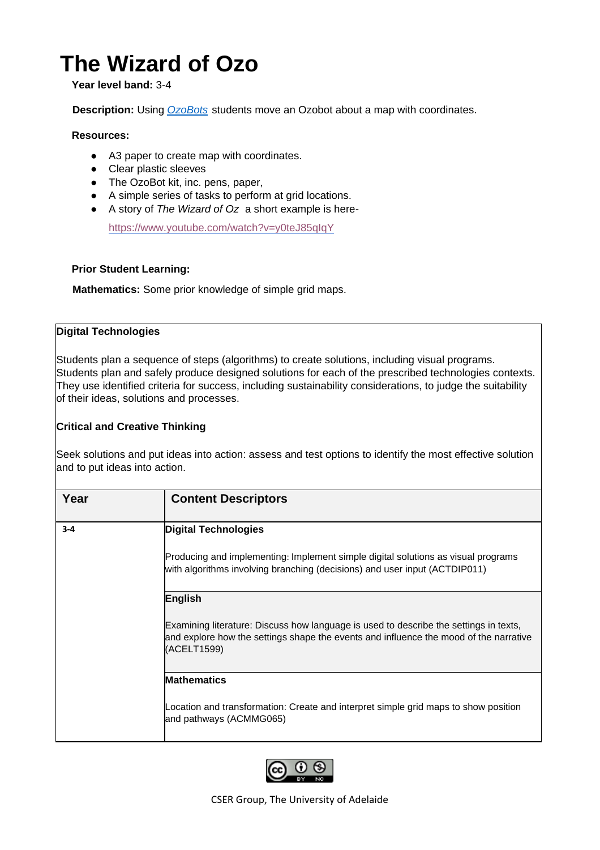# **The Wizard of Ozo**

#### **Year level band:** 3-4

**Description:** Using *[OzoBots](https://ozobot.com/)* students move an Ozobot about a map with coordinates.

#### **Resources:**

- A3 paper to create map with coordinates.
- Clear plastic sleeves
- The OzoBot kit, inc. pens, paper,
- A simple series of tasks to perform at grid locations.
- A story of *The Wizard of Oz* a short example is here*-*

<https://www.youtube.com/watch?v=y0teJ85qIqY>

#### **Prior Student Learning:**

**Mathematics:** Some prior knowledge of simple grid maps.

#### **Digital Technologies**

Students plan a sequence of steps (algorithms) to create solutions, including visual programs. Students plan and safely produce designed solutions for each of the prescribed technologies contexts. They use identified criteria for success, including sustainability considerations, to judge the suitability of their ideas, solutions and processes.

#### **Critical and Creative Thinking**

Seek solutions and put ideas into action: assess and test options to identify the most effective solution and to put ideas into action.

| Year    | <b>Content Descriptors</b>                                                                                                                                                                    |  |  |  |  |  |
|---------|-----------------------------------------------------------------------------------------------------------------------------------------------------------------------------------------------|--|--|--|--|--|
| $3 - 4$ | <b>Digital Technologies</b>                                                                                                                                                                   |  |  |  |  |  |
|         | Producing and implementing: Implement simple digital solutions as visual programs<br>with algorithms involving branching (decisions) and user input (ACTDIP011)                               |  |  |  |  |  |
|         | English                                                                                                                                                                                       |  |  |  |  |  |
|         | Examining literature: Discuss how language is used to describe the settings in texts,<br>and explore how the settings shape the events and influence the mood of the narrative<br>(ACELT1599) |  |  |  |  |  |
|         | Mathematics                                                                                                                                                                                   |  |  |  |  |  |
|         | Location and transformation: Create and interpret simple grid maps to show position<br>and pathways (ACMMG065)                                                                                |  |  |  |  |  |

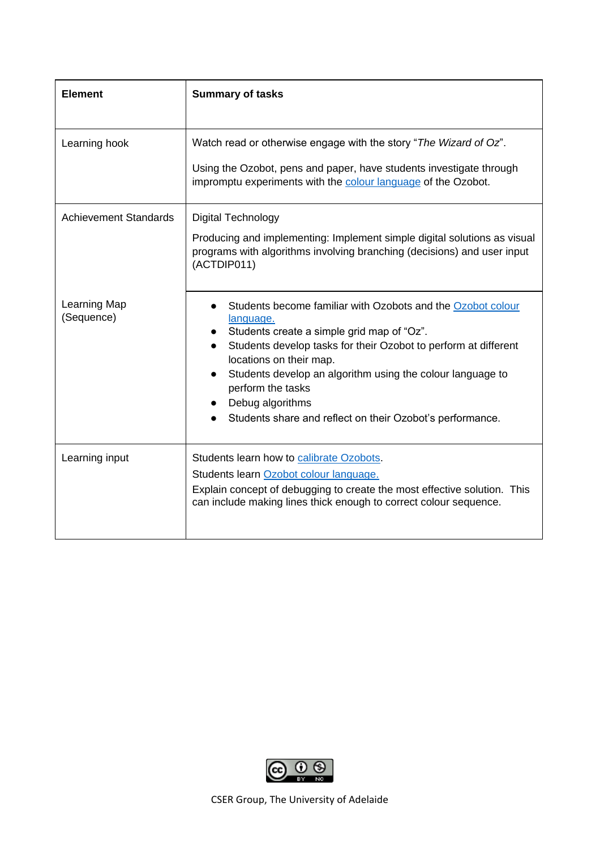| <b>Element</b>               | <b>Summary of tasks</b>                                                                                                                                                                                                                                                                                                                                                                               |  |  |  |
|------------------------------|-------------------------------------------------------------------------------------------------------------------------------------------------------------------------------------------------------------------------------------------------------------------------------------------------------------------------------------------------------------------------------------------------------|--|--|--|
| Learning hook                | Watch read or otherwise engage with the story "The Wizard of Oz".<br>Using the Ozobot, pens and paper, have students investigate through<br>impromptu experiments with the colour language of the Ozobot.                                                                                                                                                                                             |  |  |  |
| <b>Achievement Standards</b> | <b>Digital Technology</b><br>Producing and implementing: Implement simple digital solutions as visual<br>programs with algorithms involving branching (decisions) and user input<br>(ACTDIP011)                                                                                                                                                                                                       |  |  |  |
| Learning Map<br>(Sequence)   | Students become familiar with Ozobots and the Ozobot colour<br>language.<br>Students create a simple grid map of "Oz".<br>Students develop tasks for their Ozobot to perform at different<br>locations on their map.<br>Students develop an algorithm using the colour language to<br>$\bullet$<br>perform the tasks<br>Debug algorithms<br>Students share and reflect on their Ozobot's performance. |  |  |  |
| Learning input               | Students learn how to calibrate Ozobots.<br>Students learn Ozobot colour language.<br>Explain concept of debugging to create the most effective solution. This<br>can include making lines thick enough to correct colour sequence.                                                                                                                                                                   |  |  |  |

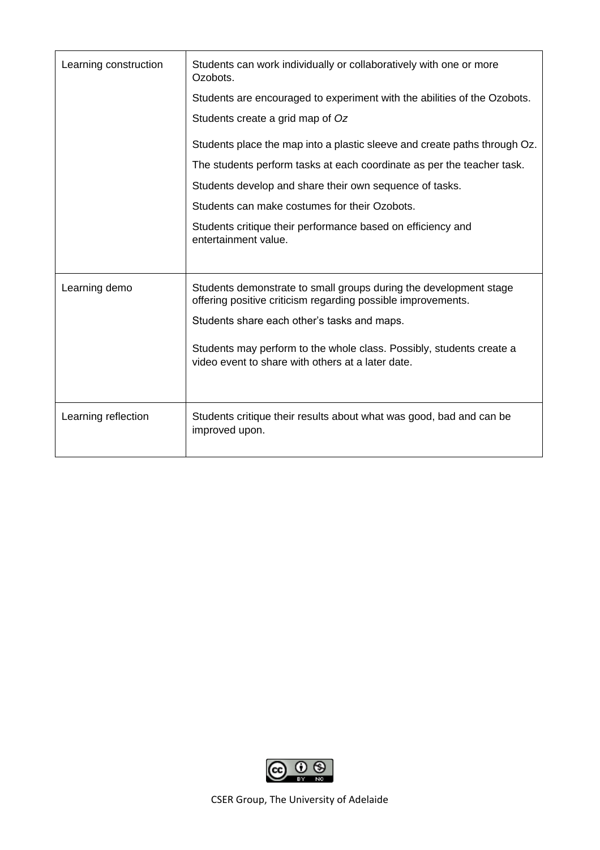| Learning construction | Students can work individually or collaboratively with one or more<br>Ozobots.<br>Students are encouraged to experiment with the abilities of the Ozobots.<br>Students create a grid map of Oz<br>Students place the map into a plastic sleeve and create paths through Oz.<br>The students perform tasks at each coordinate as per the teacher task.<br>Students develop and share their own sequence of tasks.<br>Students can make costumes for their Ozobots.<br>Students critique their performance based on efficiency and<br>entertainment value. |
|-----------------------|----------------------------------------------------------------------------------------------------------------------------------------------------------------------------------------------------------------------------------------------------------------------------------------------------------------------------------------------------------------------------------------------------------------------------------------------------------------------------------------------------------------------------------------------------------|
| Learning demo         | Students demonstrate to small groups during the development stage<br>offering positive criticism regarding possible improvements.<br>Students share each other's tasks and maps.<br>Students may perform to the whole class. Possibly, students create a<br>video event to share with others at a later date.                                                                                                                                                                                                                                            |
| Learning reflection   | Students critique their results about what was good, bad and can be<br>improved upon.                                                                                                                                                                                                                                                                                                                                                                                                                                                                    |

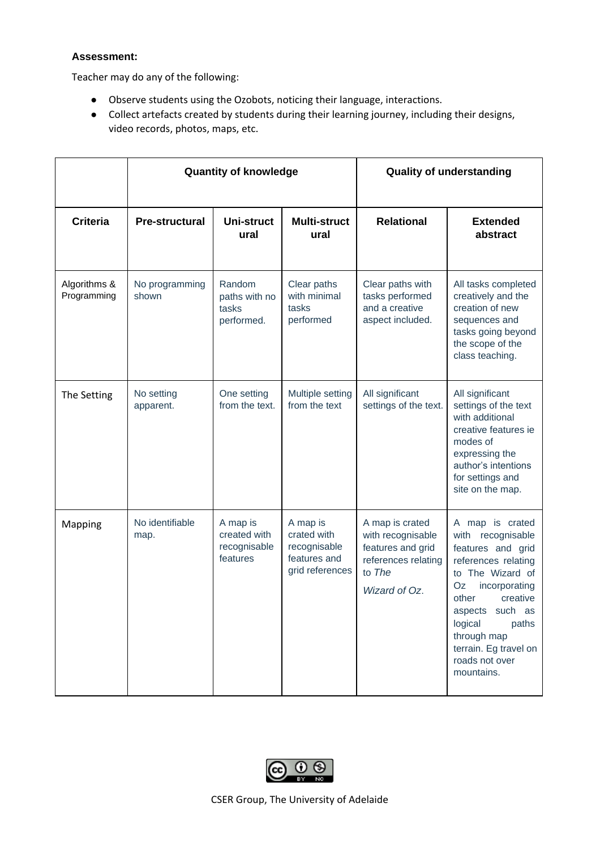#### **Assessment:**

Teacher may do any of the following:

- Observe students using the Ozobots, noticing their language, interactions.
- Collect artefacts created by students during their learning journey, including their designs, video records, photos, maps, etc.

|                             | <b>Quantity of knowledge</b> |                                                      |                                                                            | <b>Quality of understanding</b>                                                                             |                                                                                                                                                                                                                                                                 |
|-----------------------------|------------------------------|------------------------------------------------------|----------------------------------------------------------------------------|-------------------------------------------------------------------------------------------------------------|-----------------------------------------------------------------------------------------------------------------------------------------------------------------------------------------------------------------------------------------------------------------|
| <b>Criteria</b>             | <b>Pre-structural</b>        | Uni-struct<br>ural                                   | <b>Multi-struct</b><br>ural                                                | <b>Relational</b>                                                                                           | <b>Extended</b><br>abstract                                                                                                                                                                                                                                     |
| Algorithms &<br>Programming | No programming<br>shown      | Random<br>paths with no<br>tasks<br>performed.       | Clear paths<br>with minimal<br>tasks<br>performed                          | Clear paths with<br>tasks performed<br>and a creative<br>aspect included.                                   | All tasks completed<br>creatively and the<br>creation of new<br>sequences and<br>tasks going beyond<br>the scope of the<br>class teaching.                                                                                                                      |
| The Setting                 | No setting<br>apparent.      | One setting<br>from the text.                        | Multiple setting<br>from the text                                          | All significant<br>settings of the text.                                                                    | All significant<br>settings of the text<br>with additional<br>creative features ie<br>modes of<br>expressing the<br>author's intentions<br>for settings and<br>site on the map.                                                                                 |
| Mapping                     | No identifiable<br>map.      | A map is<br>created with<br>recognisable<br>features | A map is<br>crated with<br>recognisable<br>features and<br>grid references | A map is crated<br>with recognisable<br>features and grid<br>references relating<br>to The<br>Wizard of Oz. | A map is crated<br>with recognisable<br>features and grid<br>references relating<br>to The Wizard of<br>Oz<br>incorporating<br>other<br>creative<br>aspects such as<br>logical<br>paths<br>through map<br>terrain. Eg travel on<br>roads not over<br>mountains. |